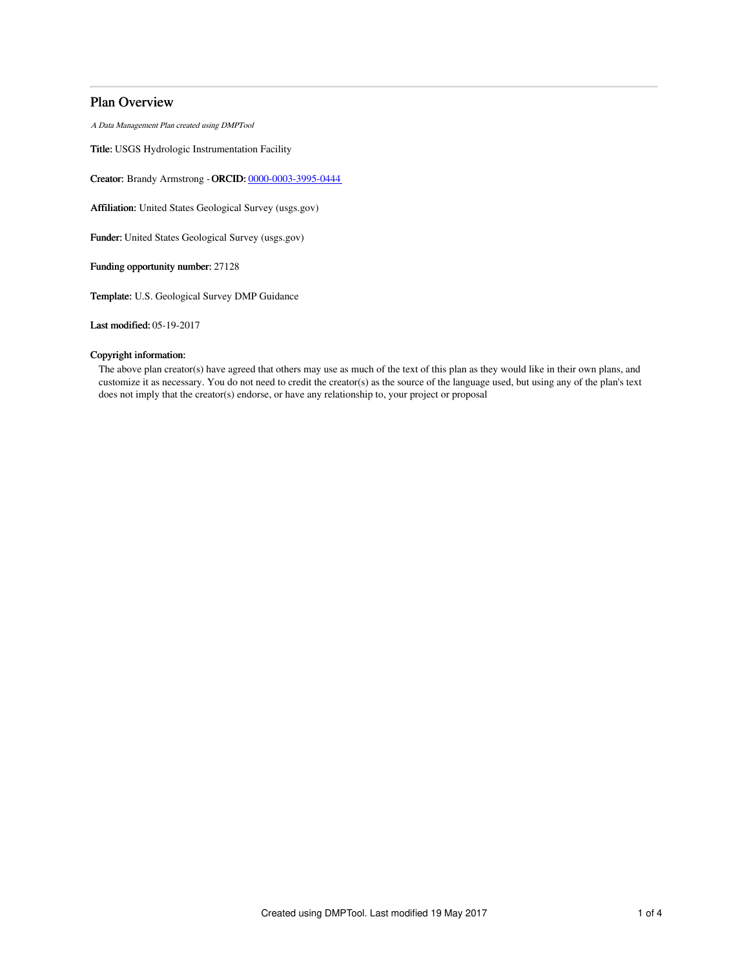# Plan Overview

A Data Management Plan created using DMPTool

Title: USGS Hydrologic Instrumentation Facility

Creator: Brandy Armstrong -ORCID: [0000-0003-3995-0444](https://orcid.org/0000-0003-3995-0444)

Affiliation: United States Geological Survey (usgs.gov)

Funder: United States Geological Survey (usgs.gov)

Funding opportunity number: 27128

Template: U.S. Geological Survey DMP Guidance

Last modified: 05-19-2017

# Copyright information:

The above plan creator(s) have agreed that others may use as much of the text of this plan as they would like in their own plans, and customize it as necessary. You do not need to credit the creator(s) as the source of the language used, but using any of the plan's text does not imply that the creator(s) endorse, or have any relationship to, your project or proposal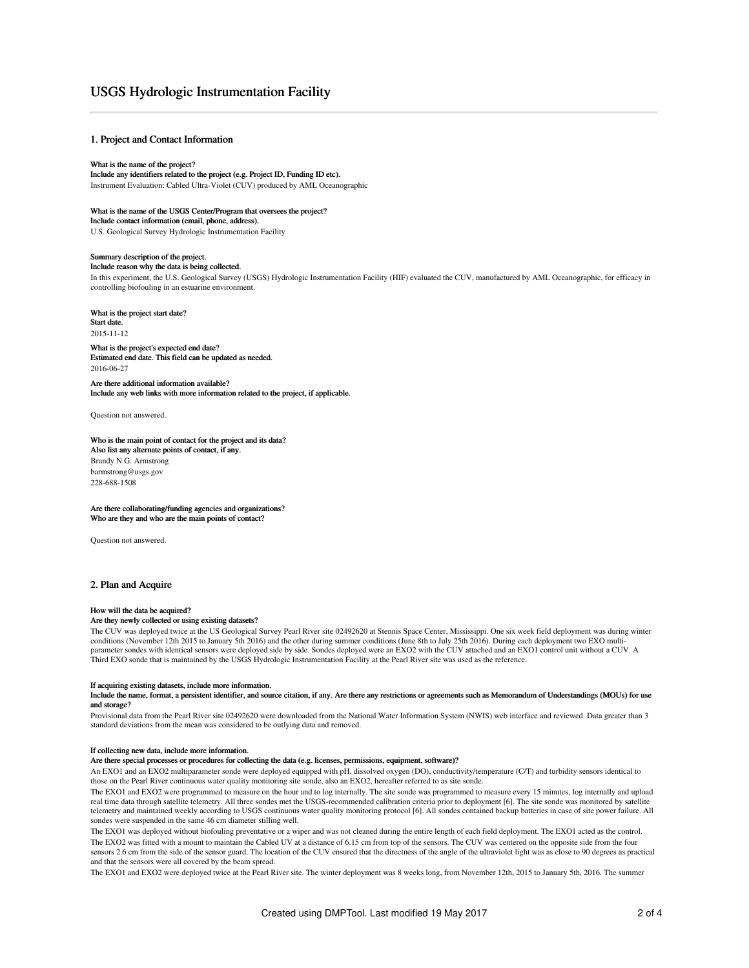# USGS Hydrologic Instrumentation Facility

# 1. Project and Contact Information

#### What is the name of the project?

Include any identifiers related to the project (e.g. Project ID, Funding ID etc). Instrument Evaluation: Cabled Ultra-Violet (CUV) produced by AML Oceanographic

What is the name of the USGS Center/Program that oversees the project?

Include contact information (email, phone, address).

U.S. Geological Survey Hydrologic Instrumentation Facility

#### Summary description of the project. Include reason why the data is being collected.

In this experiment, the U.S. Geological Survey (USGS) Hydrologic Instrumentation Facility (HIF) evaluated the CUV, manufactured by AML Oceanographic, for efficacy in controlling biofouling in an estuarine environment.

#### What is the project start date?

Start date. 2015-11-12

What is the project's expected end date? Estimated end date. This field can be updated as needed. 2016-06-27

Are there additional information available? Include any web links with more information related to the project, if applicable.

Question not answered.

## Who is the main point of contact for the project and its data?

Also list any alternate points of contact, if any. Brandy N.G. Armstrong barmstrong@usgs.gov 228-688-1508

Are there collaborating/funding agencies and organizations? Who are they and who are the main points of contact?

Question not answered.

# 2. Plan and Acquire

## How will the data be acquired?

## Are they newly collected or using existing datasets?

The CUV was deployed twice at the US Geological Survey Pearl River site 02492620 at Stennis Space Center, Mississippi. One six week field deployment was during winter conditions (November 12th 2015 to January 5th 2016) and the other during summer conditions (June 8th to July 25th 2016). During each deployment two EXO multi-<br>parameter sondes with identical sensors were deployed side by s Third EXO sonde that is maintained by the USGS Hydrologic Instrumentation Facility at the Pearl River site was used as the reference.

#### If acquiring existing datasets, include more information.

Include the name, format, a persistent identifier, and source citation, if any. Are there any restrictions or agreements such as Memorandum of Understandings (MOUs) for use and storage?

Provisional data from the Pearl River site 02492620 were downloaded from the National Water Information System (NWIS) web interface and reviewed. Data greater than 3 standard deviations from the mean was considered to be outlying data and removed.

#### If collecting new data, include more information.

Are there special processes or procedures for collecting the data (e.g. licenses, permissions, equipment, software)?

An EXO1 and an EXO2 multiparameter sonde were deployed equipped with pH, dissolved oxygen (DO), conductivity/temperature (C/T) and turbidity sensors identical to those on the Pearl River continuous water quality monitoring site sonde, also an EXO2, hereafter referred to as site sonde.

The EXO1 and EXO2 were programmed to measure on the hour and to log internally. The site sonde was programmed to measure every 15 minutes, log internally and upload real time data through satellite telemetry. All three sondes met the USGS-recommended calibration criteria prior to deployment [6]. The site sonde was monitored by satellite telemetry and maintained weekly according to USGS continuous water quality monitoring protocol [6]. All sondes contained backup batteries in case of site power failure. All sondes were suspended in the same 46 cm diameter stilling well.

The EXO1 was deployed without biofouling preventative or a wiper and was not cleaned during the entire length of each field deployment. The EXO1 acted as the control. The EXO2 was fitted with a mount to maintain the Cabled UV at a distance of 6.15 cm from top of the sensors. The CUV was centered on the opposite side from the four sensors 2.6 cm from the side of the sensor guard. The location of the CUV ensured that the directness of the angle of the ultraviolet light was as close to 90 degrees as practical and that the sensors were all covered by the beam spread.

The EXO1 and EXO2 were deployed twice at the Pearl River site. The winter deployment was 8 weeks long, from November 12th, 2015 to January 5th, 2016. The summer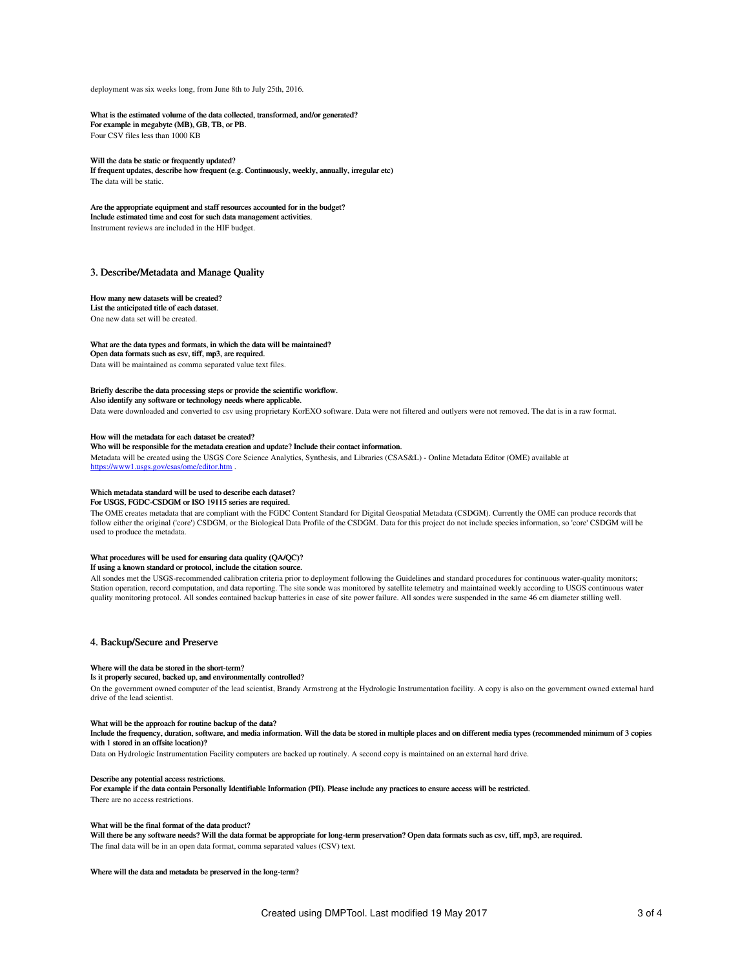deployment was six weeks long, from June 8th to July 25th, 2016.

#### What is the estimated volume of the data collected, transformed, and/or generated?

For example in megabyte (MB), GB, TB, or PB. Four CSV files less than 1000 KB

#### Will the data be static or frequently updated?

If frequent updates, describe how frequent (e.g. Continuously, weekly, annually, irregular etc) The data will be static.

Are the appropriate equipment and staff resources accounted for in the budget? Include estimated time and cost for such data management activities. Instrument reviews are included in the HIF budget.

#### 3. Describe/Metadata and Manage Quality

#### How many new datasets will be created?

List the anticipated title of each dataset. One new data set will be created.

#### What are the data types and formats, in which the data will be maintained?

Open data formats such as csv, tiff, mp3, are required.

Data will be maintained as comma separated value text files.

#### Briefly describe the data processing steps or provide the scientific workflow.

Also identify any software or technology needs where applicable.

Data were downloaded and converted to csv using proprietary KorEXO software. Data were not filtered and outlyers were not removed. The dat is in a raw format.

#### How will the metadata for each dataset be created?

#### Who will be responsible for the metadata creation and update? Include their contact information.

Metadata will be created using the USGS Core Science Analytics, Synthesis, and Libraries (CSAS&L) - Online Metadata Editor (OME) available at <https://www1.usgs.gov/csas/ome/editor.htm> .

### Which metadata standard will be used to describe each dataset?

For USGS, FGDC-CSDGM or ISO 19115 series are required.

The OME creates metadata that are compliant with the FGDC Content Standard for Digital Geospatial Metadata (CSDGM). Currently the OME can produce records that follow either the original ('core') CSDGM, or the Biological Data Profile of the CSDGM. Data for this project do not include species information, so core' CSDGM will be used to produce the metadata.

#### What procedures will be used for ensuring data quality (QA/QC)?

If using a known standard or protocol, include the citation source.

All sondes met the USGS-recommended calibration criteria prior to deployment following the Guidelines and standard procedures for continuous water-quality monitors; Station operation, record computation, and data reporting. The site sonde was monitored by satellite telemetry and maintained weekly according to USGS continuous water quality monitoring protocol. All sondes contained backup batteries in case of site power failure. All sondes were suspended in the same 46 cm diameter stilling well.

## 4. Backup/Secure and Preserve

#### Where will the data be stored in the short-term?

#### Is it properly secured, backed up, and environmentally controlled?

On the government owned computer of the lead scientist, Brandy Armstrong at the Hydrologic Instrumentation facility. A copy is also on the government owned external hard drive of the lead scientist.

#### What will be the approach for routine backup of the data?

Include the frequency, duration, software, and media information. Will the data be stored in multiple places and on different media types (recommended minimum of 3 copies with 1 stored in an offsite location)?

Data on Hydrologic Instrumentation Facility computers are backed up routinely. A second copy is maintained on an external hard drive.

#### Describe any potential access restrictions.

For example if the data contain Personally Identifiable Information (PII). Please include any practices to ensure access will be restricted. There are no access restrictions.

#### What will be the final format of the data product?

Will there be any software needs? Will the data format be appropriate for long-term preservation? Open data formats such as csv, tiff, mp3, are required. The final data will be in an open data format, comma separated values (CSV) text.

#### Where will the data and metadata be preserved in the long-term?